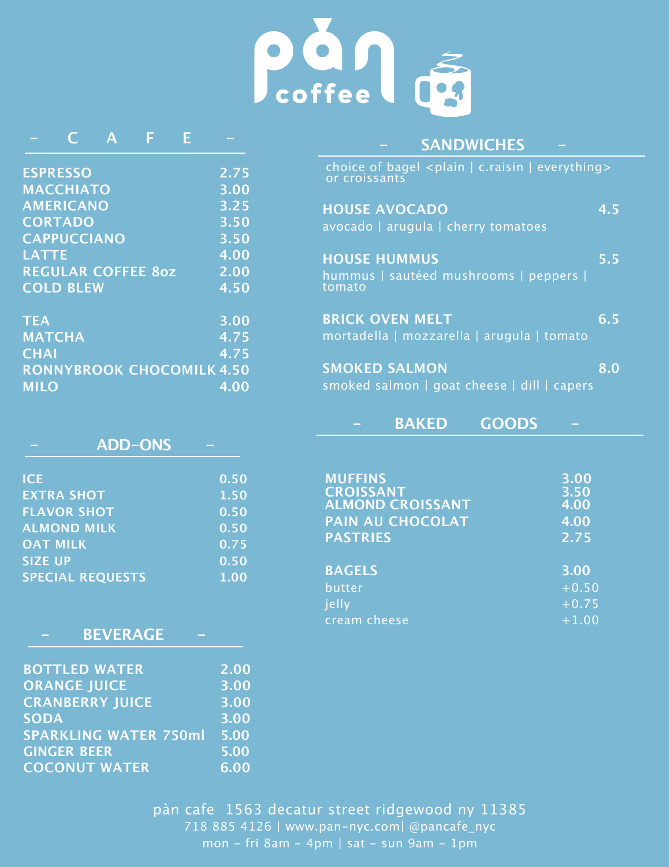

|                 |                    | Α                         | F |                                  |
|-----------------|--------------------|---------------------------|---|----------------------------------|
|                 |                    |                           |   |                                  |
| <b>ESPRESSO</b> |                    |                           |   | 2.75                             |
|                 | <b>MACCHIATO</b>   |                           |   | 3.00                             |
|                 | <b>AMERICANO</b>   |                           |   | 3.25                             |
|                 | <b>CORTADO</b>     |                           |   | 3.50                             |
|                 | <b>CAPPUCCIANO</b> |                           |   | 3.50                             |
| <b>LATTE</b>    |                    |                           |   | 4.00                             |
|                 |                    | <b>REGULAR COFFEE 80Z</b> |   | 2.00                             |
|                 | <b>COLD BLEW</b>   |                           |   | 4.50                             |
|                 |                    |                           |   |                                  |
| <b>TEA</b>      |                    |                           |   | 3.00                             |
| <b>MATCHA</b>   |                    |                           |   | 4.75                             |
| <b>CHAI</b>     |                    |                           |   | 4.75                             |
|                 |                    |                           |   | <b>RONNYBROOK CHOCOMILK 4.50</b> |
| <b>MILO</b>     |                    |                           |   | 4.00                             |
|                 |                    |                           |   |                                  |

| <b>ADD-ONS</b>          |      |
|-------------------------|------|
| <b>ICE</b>              | 0.50 |
| <b>EXTRA SHOT</b>       | 1.50 |
| <b>FLAVOR SHOT</b>      | 0.50 |
| <b>ALMOND MILK</b>      | 0.50 |
| <b>OAT MILK</b>         | 0.75 |
| <b>SIZE UP</b>          | 0.50 |
| <b>SPECIAL REQUESTS</b> | 1.00 |

|  |  |  | <b>BEVERAGE</b> |  |  |
|--|--|--|-----------------|--|--|
|--|--|--|-----------------|--|--|

| <b>BOTTLED WATER</b>         | 2.00 |
|------------------------------|------|
| <b>ORANGE JUICE</b>          | 3.00 |
| <b>CRANBERRY JUICE</b>       | 3.00 |
| <b>SODA</b>                  | 3.00 |
| <b>SPARKLING WATER 750ml</b> | 5.00 |
| <b>GINGER BEER</b>           | 5.00 |
| <b>COCONUT WATER</b>         | 6.00 |
|                              |      |

# **- SANDWICHES -**

| choice of bagel $\langle$ plain   c.raisin   everything $>$<br>or croissants |                  |
|------------------------------------------------------------------------------|------------------|
| <b>HOUSE AVOCADO</b><br>avocado   arugula   cherry tomatoes                  | 4.5              |
| <b>HOUSE HUMMUS</b><br>hummus sautéed mushrooms peppers  <br>tomato          | 5.5              |
| <b>BRICK OVEN MELT</b><br>mortadella   mozzarella   arugula   tomato         | 6.5              |
| <b>SMOKED SALMON</b><br>smoked salmon   goat cheese   dill   capers          | $\overline{8.0}$ |

|                  | <b>BAKED</b>            | <b>GOODS</b> |      |  |
|------------------|-------------------------|--------------|------|--|
|                  |                         |              |      |  |
| <b>MUFFINS</b>   |                         |              | 3.00 |  |
| <b>CROISSANT</b> |                         |              | 3.50 |  |
|                  | <b>ALMOND CROISSANT</b> |              | 4.00 |  |
|                  | <b>PAIN AU CHOCOLAT</b> |              | 4.00 |  |
| <b>PASTRIES</b>  |                         |              | 2.75 |  |

| <b>BAGELS</b> | 3.00    |
|---------------|---------|
| butter        | $+0.50$ |
| <b>ielly</b>  | $+0.75$ |
| cream cheese  | $+1.00$ |

pàn cafe 1563 decatur street ridgewood ny 11385 718 885 4126 | www.pan-nyc.com| @pancafe\_nyc mon - fri 8am - 4pm | sat - sun 9am - 1pm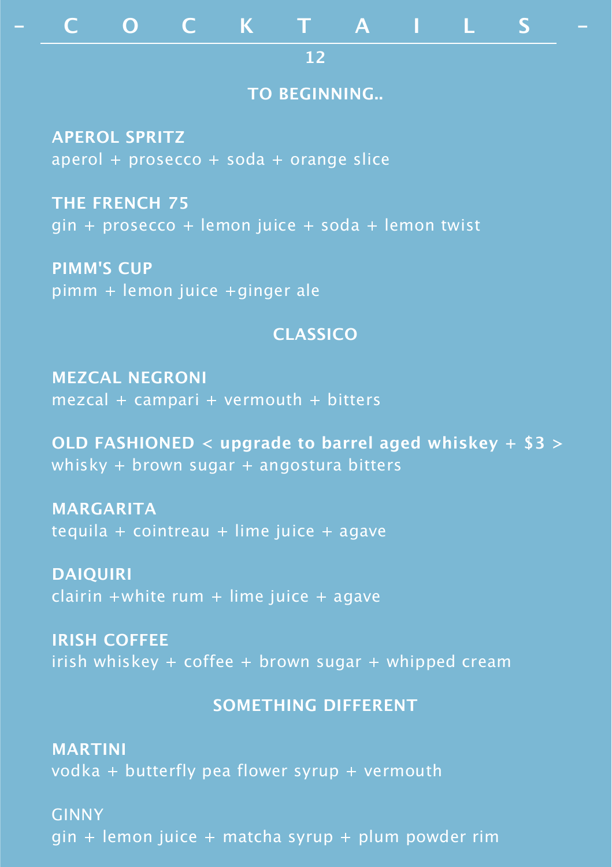# **- C O C K T A I L S -**

**12**

#### **TO BEGINNING..**

**APEROL SPRITZ** aperol + prosecco + soda + orange slice

**THE FRENCH 75** gin + prosecco + lemon juice + soda + lemon twist

**PIMM'S CUP** pimm + lemon juice +ginger ale

# **CLASSICO**

**MEZCAL NEGRONI** mezcal + campari + vermouth + bitters

**OLD FASHIONED < upgrade to barrel aged whiskey + \$3 >** whisky + brown sugar + angostura bitters

**MARGARITA** tequila + cointreau + lime juice + agave

**DAIQUIRI**  $clairin +white rum + lime$  juice + agave

**IRISH COFFEE** irish whiskey  $+$  coffee  $+$  brown sugar  $+$  whipped cream

## **SOMETHING DIFFERENT**

**MARTINI** vodka + butterfly pea flower syrup + vermouth

GINNY gin + lemon juice + matcha syrup + plum powder rim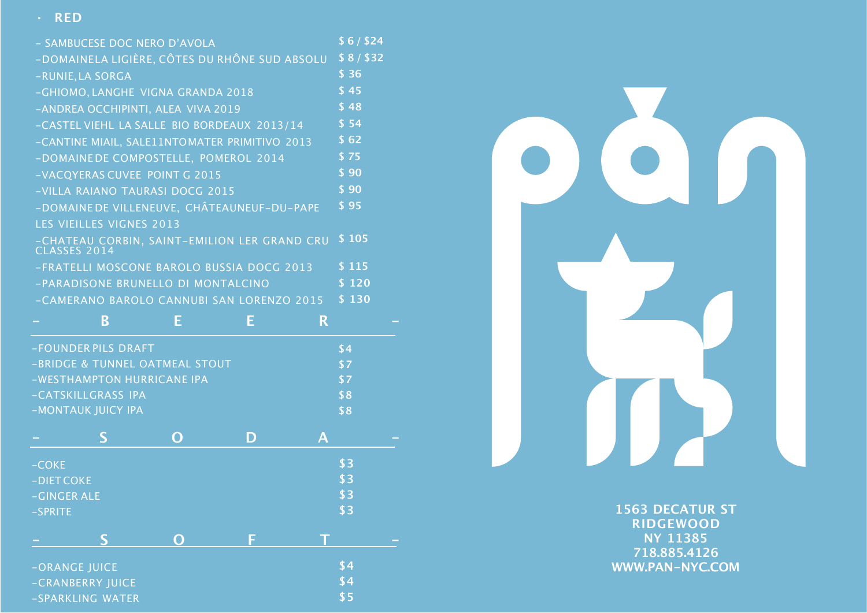### **· RED**

| - SAMBUCESE DOC NERO D'AVOLA                  | \$6/\$24 |
|-----------------------------------------------|----------|
| -DOMAINELA LIGIÈRE, CÔTES DU RHÔNE SUD ABSOLU | \$8/\$32 |
| -RUNIE, LA SORGA                              | \$36     |
| -GHIOMO, LANGHE VIGNA GRANDA 2018             | \$45     |
| -ANDREA OCCHIPINTI, ALEA VIVA 2019            | \$48     |
| -CASTEL VIEHL LA SALLE BIO BORDEAUX 2013/14   | \$54     |
| -CANTINE MIAIL, SALE11NTOMATER PRIMITIVO 2013 | \$62     |
| -DOMAINEDE COMPOSTELLE, POMEROL 2014          | \$75     |
| -VACQYERAS CUVEE POINT G 2015                 | \$90     |
| -VILLA RAIANO TAURASI DOCG 2015               | \$90     |
| -DOMAINE DE VILLENEUVE, CHÂTEAUNEUF-DU-PAPE   | \$95     |
| <b>LES VIEILLES VIGNES 2013</b>               |          |
| -CHATEAU CORBIN, SAINT-EMILION LER GRAND CRU  | \$105    |
| -FRATELLI MOSCONE BAROLO BUSSIA DOCG 2013     | \$115    |
| -PARADISONE BRUNELLO DI MONTALCINO            | \$120    |
| -CAMERANO BAROLO CANNUBI SAN LORENZO 2015     | 5130     |
| B<br>E<br>F<br>R                              |          |

|             | -FOUNDER PILS DRAFT            |   | \$4 |     |  |
|-------------|--------------------------------|---|-----|-----|--|
|             | -BRIDGE & TUNNEL OATMEAL STOUT |   | \$7 |     |  |
|             | -WESTHAMPTON HURRICANE IPA     |   |     | \$7 |  |
|             | -CATSKILLGRASS IPA             |   | \$8 |     |  |
|             | -MONTAUK JUICY IPA             |   | \$8 |     |  |
|             | S                              | O | D   | A   |  |
| $-COKE$     |                                |   |     | \$3 |  |
| -DIET COKE  |                                |   |     | \$3 |  |
| -GINGER ALE |                                |   |     | \$3 |  |
| -SPRITE     |                                |   | \$3 |     |  |
|             | S                              | O | F   |     |  |
|             | -ORANGE JUICE                  |   | \$4 |     |  |
|             | -CRANBERRY JUICE               |   |     | \$4 |  |
|             | -SPARKLING WATER               |   | \$5 |     |  |



**1563 DECATUR ST RIDGEWOOD NY 11385 718.885.4126 WWW.PAN-NYC.COM**